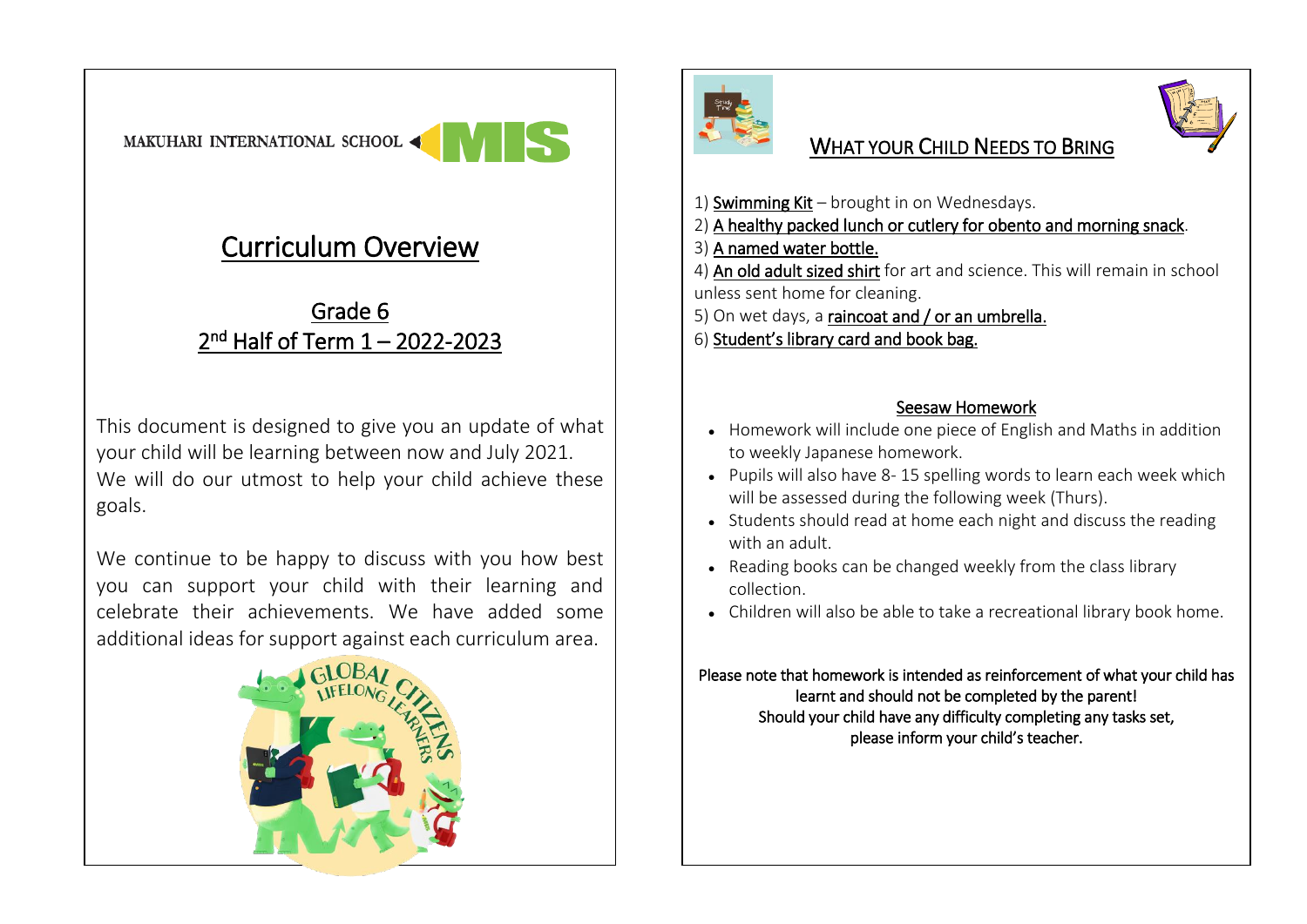## Curriculum Overview

## Grade 6 2<sup>nd</sup> Half of Term 1 – 2022-2023

This document is designed to give you an update of what your child will be learning between now and July 2021. We will do our utmost to help your child achieve these goals.

We continue to be happy to discuss with you how best you can support your child with their learning and celebrate their achievements. We have added some additional ideas for support against each curriculum area.





## WHAT YOUR CHILD NEEDS TO BRING



- 1) Swimming Kit brought in on Wednesdays.
- 2) A healthy packed lunch or cutlery for obento and morning snack.
- 3) A named water bottle.
- 4) An old adult sized shirt for art and science. This will remain in school unless sent home for cleaning.
- 5) On wet days, a raincoat and / or an umbrella.
- 6) Student's library card and book bag.

## Seesaw Homework

- Homework will include one piece of English and Maths in addition to weekly Japanese homework.
- Pupils will also have 8-15 spelling words to learn each week which will be assessed during the following week (Thurs).
- Students should read at home each night and discuss the reading with an adult.
- Reading books can be changed weekly from the class library collection.
- Children will also be able to take a recreational library book home.

Please note that homework is intended as reinforcement of what your child has learnt and should not be completed by the parent! Should your child have any difficulty completing any tasks set, please inform your child's teacher.